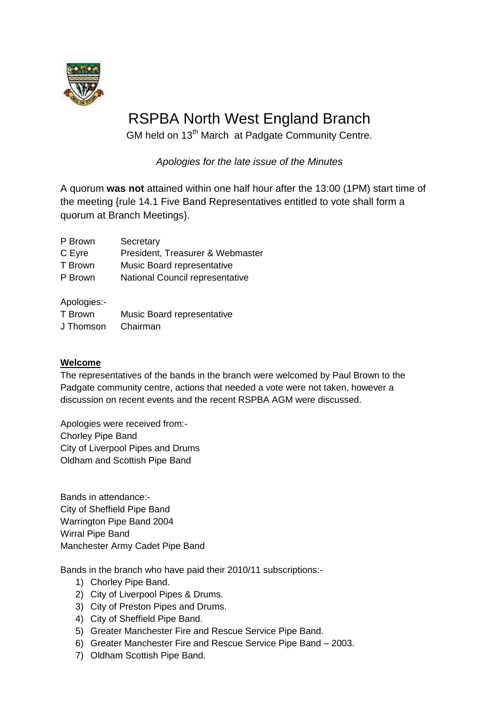

# RSPBA North West England Branch

GM held on 13<sup>th</sup> March at Padgate Community Centre.

*Apologies for the late issue of the Minutes*

A quorum **was not** attained within one half hour after the 13:00 (1PM) start time of the meeting {rule 14.1 Five Band Representatives entitled to vote shall form a quorum at Branch Meetings}.

| P Brown | Secretary |
|---------|-----------|
|---------|-----------|

C Eyre President, Treasurer & Webmaster

T Brown Music Board representative

P Brown National Council representative

Apologies:-

| T Brown   | Music Board representative |
|-----------|----------------------------|
| J Thomson | Chairman                   |

## **Welcome**

The representatives of the bands in the branch were welcomed by Paul Brown to the Padgate community centre, actions that needed a vote were not taken, however a discussion on recent events and the recent RSPBA AGM were discussed.

Apologies were received from:- Chorley Pipe Band City of Liverpool Pipes and Drums Oldham and Scottish Pipe Band

Bands in attendance:- City of Sheffield Pipe Band Warrington Pipe Band 2004 Wirral Pipe Band Manchester Army Cadet Pipe Band

Bands in the branch who have paid their 2010/11 subscriptions:-

- 1) Chorley Pipe Band.
- 2) City of Liverpool Pipes & Drums.
- 3) City of Preston Pipes and Drums.
- 4) City of Sheffield Pipe Band.
- 5) Greater Manchester Fire and Rescue Service Pipe Band.
- 6) Greater Manchester Fire and Rescue Service Pipe Band 2003.
- 7) Oldham Scottish Pipe Band.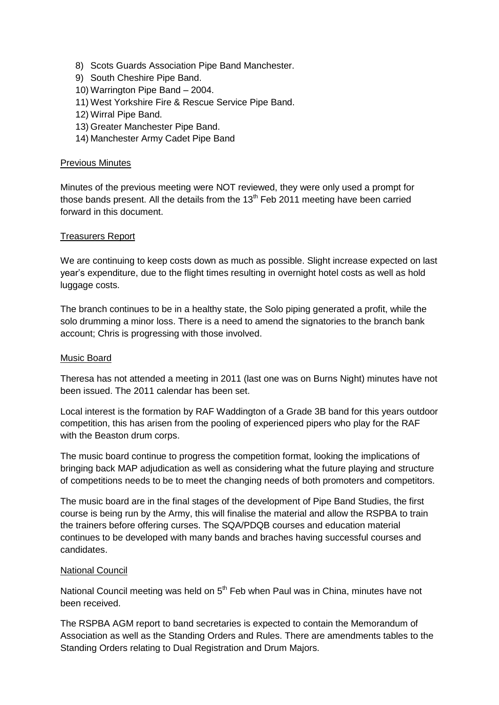- 8) Scots Guards Association Pipe Band Manchester.
- 9) South Cheshire Pipe Band.
- 10) Warrington Pipe Band 2004.
- 11) West Yorkshire Fire & Rescue Service Pipe Band.
- 12) Wirral Pipe Band.
- 13) Greater Manchester Pipe Band.
- 14) Manchester Army Cadet Pipe Band

#### Previous Minutes

Minutes of the previous meeting were NOT reviewed, they were only used a prompt for those bands present. All the details from the  $13<sup>th</sup>$  Feb 2011 meeting have been carried forward in this document.

### Treasurers Report

We are continuing to keep costs down as much as possible. Slight increase expected on last year's expenditure, due to the flight times resulting in overnight hotel costs as well as hold luggage costs.

The branch continues to be in a healthy state, the Solo piping generated a profit, while the solo drumming a minor loss. There is a need to amend the signatories to the branch bank account; Chris is progressing with those involved.

### Music Board

Theresa has not attended a meeting in 2011 (last one was on Burns Night) minutes have not been issued. The 2011 calendar has been set.

Local interest is the formation by RAF Waddington of a Grade 3B band for this years outdoor competition, this has arisen from the pooling of experienced pipers who play for the RAF with the Beaston drum corps.

The music board continue to progress the competition format, looking the implications of bringing back MAP adjudication as well as considering what the future playing and structure of competitions needs to be to meet the changing needs of both promoters and competitors.

The music board are in the final stages of the development of Pipe Band Studies, the first course is being run by the Army, this will finalise the material and allow the RSPBA to train the trainers before offering curses. The SQA/PDQB courses and education material continues to be developed with many bands and braches having successful courses and candidates.

### National Council

National Council meeting was held on  $5<sup>th</sup>$  Feb when Paul was in China, minutes have not been received.

The RSPBA AGM report to band secretaries is expected to contain the Memorandum of Association as well as the Standing Orders and Rules. There are amendments tables to the Standing Orders relating to Dual Registration and Drum Majors.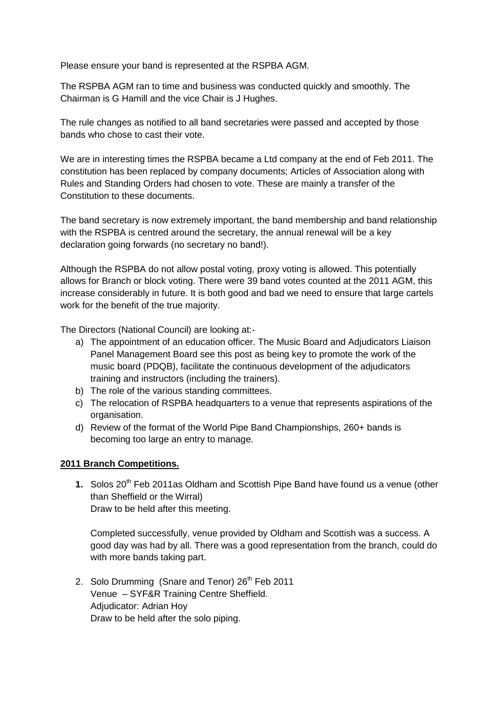Please ensure your band is represented at the RSPBA AGM.

The RSPBA AGM ran to time and business was conducted quickly and smoothly. The Chairman is G Hamill and the vice Chair is J Hughes.

The rule changes as notified to all band secretaries were passed and accepted by those bands who chose to cast their vote.

We are in interesting times the RSPBA became a Ltd company at the end of Feb 2011. The constitution has been replaced by company documents; Articles of Association along with Rules and Standing Orders had chosen to vote. These are mainly a transfer of the Constitution to these documents.

The band secretary is now extremely important, the band membership and band relationship with the RSPBA is centred around the secretary, the annual renewal will be a key declaration going forwards (no secretary no band!).

Although the RSPBA do not allow postal voting, proxy voting is allowed. This potentially allows for Branch or block voting. There were 39 band votes counted at the 2011 AGM, this increase considerably in future. It is both good and bad we need to ensure that large cartels work for the benefit of the true majority.

The Directors (National Council) are looking at:-

- a) The appointment of an education officer. The Music Board and Adjudicators Liaison Panel Management Board see this post as being key to promote the work of the music board (PDQB), facilitate the continuous development of the adjudicators training and instructors (including the trainers).
- b) The role of the various standing committees.
- c) The relocation of RSPBA headquarters to a venue that represents aspirations of the organisation.
- d) Review of the format of the World Pipe Band Championships, 260+ bands is becoming too large an entry to manage.

### **2011 Branch Competitions.**

**1.** Solos 20<sup>th</sup> Feb 2011as Oldham and Scottish Pipe Band have found us a venue (other than Sheffield or the Wirral) Draw to be held after this meeting.

Completed successfully, venue provided by Oldham and Scottish was a success. A good day was had by all. There was a good representation from the branch, could do with more bands taking part.

2. Solo Drumming (Snare and Tenor) 26<sup>th</sup> Feb 2011 Venue – SYF&R Training Centre Sheffield. Adjudicator: Adrian Hoy Draw to be held after the solo piping.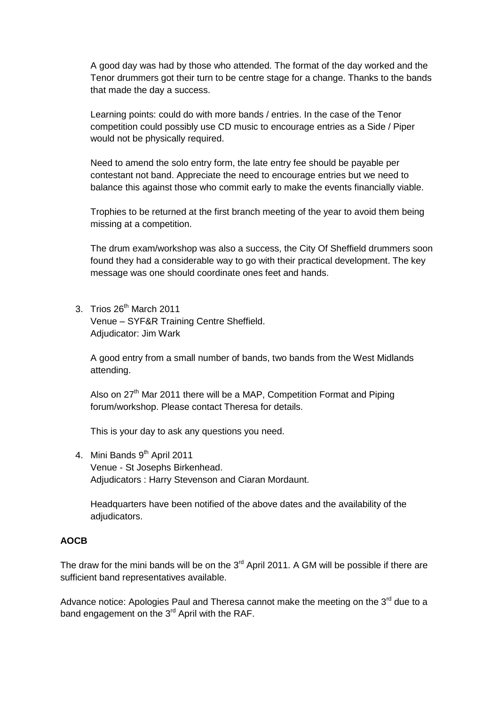A good day was had by those who attended. The format of the day worked and the Tenor drummers got their turn to be centre stage for a change. Thanks to the bands that made the day a success.

Learning points: could do with more bands / entries. In the case of the Tenor competition could possibly use CD music to encourage entries as a Side / Piper would not be physically required.

Need to amend the solo entry form, the late entry fee should be payable per contestant not band. Appreciate the need to encourage entries but we need to balance this against those who commit early to make the events financially viable.

Trophies to be returned at the first branch meeting of the year to avoid them being missing at a competition.

The drum exam/workshop was also a success, the City Of Sheffield drummers soon found they had a considerable way to go with their practical development. The key message was one should coordinate ones feet and hands.

3. Trios 26<sup>th</sup> March 2011 Venue – SYF&R Training Centre Sheffield. Adjudicator: Jim Wark

A good entry from a small number of bands, two bands from the West Midlands attending.

Also on  $27<sup>th</sup>$  Mar 2011 there will be a MAP, Competition Format and Piping forum/workshop. Please contact Theresa for details.

This is your day to ask any questions you need.

4. Mini Bands 9<sup>th</sup> April 2011 Venue - St Josephs Birkenhead. Adjudicators : Harry Stevenson and Ciaran Mordaunt.

Headquarters have been notified of the above dates and the availability of the adjudicators.

### **AOCB**

The draw for the mini bands will be on the  $3<sup>rd</sup>$  April 2011. A GM will be possible if there are sufficient band representatives available.

Advance notice: Apologies Paul and Theresa cannot make the meeting on the 3<sup>rd</sup> due to a band engagement on the  $3<sup>rd</sup>$  April with the RAF.